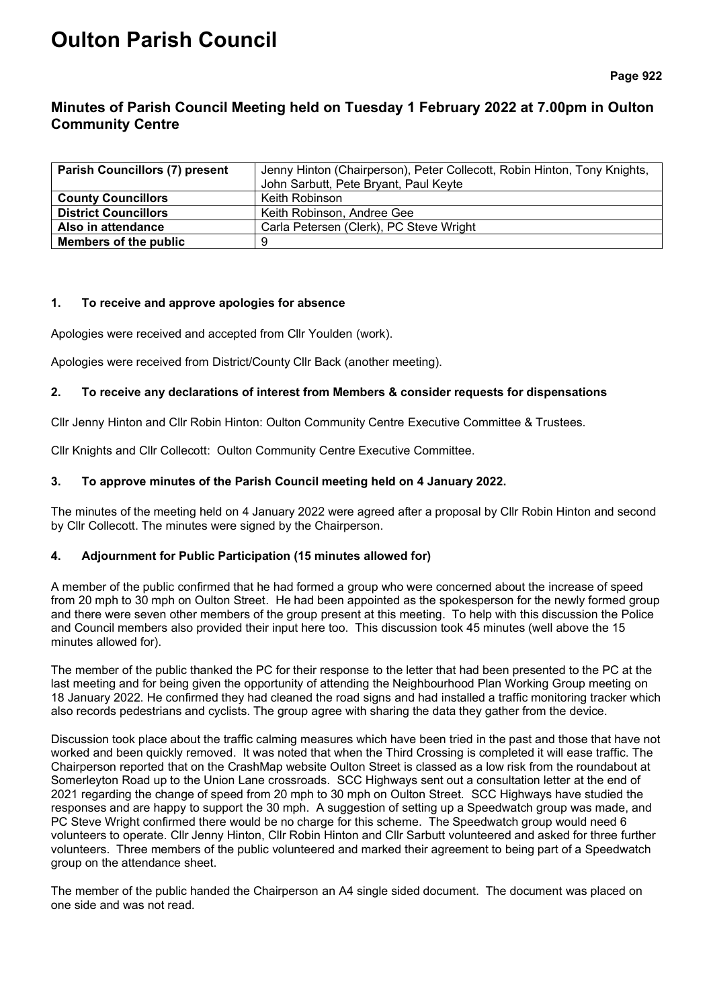# **Oulton Parish Council**

**Page 922**

# **Minutes of Parish Council Meeting held on Tuesday 1 February 2022 at 7.00pm in Oulton Community Centre**

| <b>Parish Councillors (7) present</b> | Jenny Hinton (Chairperson), Peter Collecott, Robin Hinton, Tony Knights, |  |
|---------------------------------------|--------------------------------------------------------------------------|--|
|                                       | John Sarbutt, Pete Bryant, Paul Keyte                                    |  |
| <b>County Councillors</b>             | Keith Robinson                                                           |  |
| <b>District Councillors</b>           | Keith Robinson, Andree Gee                                               |  |
| Also in attendance                    | Carla Petersen (Clerk), PC Steve Wright                                  |  |
| Members of the public                 |                                                                          |  |

#### **1. To receive and approve apologies for absence**

Apologies were received and accepted from Cllr Youlden (work).

Apologies were received from District/County Cllr Back (another meeting).

# **2. To receive any declarations of interest from Members & consider requests for dispensations**

Cllr Jenny Hinton and Cllr Robin Hinton: Oulton Community Centre Executive Committee & Trustees.

Cllr Knights and Cllr Collecott: Oulton Community Centre Executive Committee.

# **3. To approve minutes of the Parish Council meeting held on 4 January 2022.**

The minutes of the meeting held on 4 January 2022 were agreed after a proposal by Cllr Robin Hinton and second by Cllr Collecott. The minutes were signed by the Chairperson.

# **4. Adjournment for Public Participation (15 minutes allowed for)**

A member of the public confirmed that he had formed a group who were concerned about the increase of speed from 20 mph to 30 mph on Oulton Street. He had been appointed as the spokesperson for the newly formed group and there were seven other members of the group present at this meeting. To help with this discussion the Police and Council members also provided their input here too. This discussion took 45 minutes (well above the 15 minutes allowed for).

The member of the public thanked the PC for their response to the letter that had been presented to the PC at the last meeting and for being given the opportunity of attending the Neighbourhood Plan Working Group meeting on 18 January 2022. He confirmed they had cleaned the road signs and had installed a traffic monitoring tracker which also records pedestrians and cyclists. The group agree with sharing the data they gather from the device.

Discussion took place about the traffic calming measures which have been tried in the past and those that have not worked and been quickly removed. It was noted that when the Third Crossing is completed it will ease traffic. The Chairperson reported that on the CrashMap website Oulton Street is classed as a low risk from the roundabout at Somerleyton Road up to the Union Lane crossroads. SCC Highways sent out a consultation letter at the end of 2021 regarding the change of speed from 20 mph to 30 mph on Oulton Street. SCC Highways have studied the responses and are happy to support the 30 mph. A suggestion of setting up a Speedwatch group was made, and PC Steve Wright confirmed there would be no charge for this scheme. The Speedwatch group would need 6 volunteers to operate. Cllr Jenny Hinton, Cllr Robin Hinton and Cllr Sarbutt volunteered and asked for three further volunteers. Three members of the public volunteered and marked their agreement to being part of a Speedwatch group on the attendance sheet.

The member of the public handed the Chairperson an A4 single sided document. The document was placed on one side and was not read.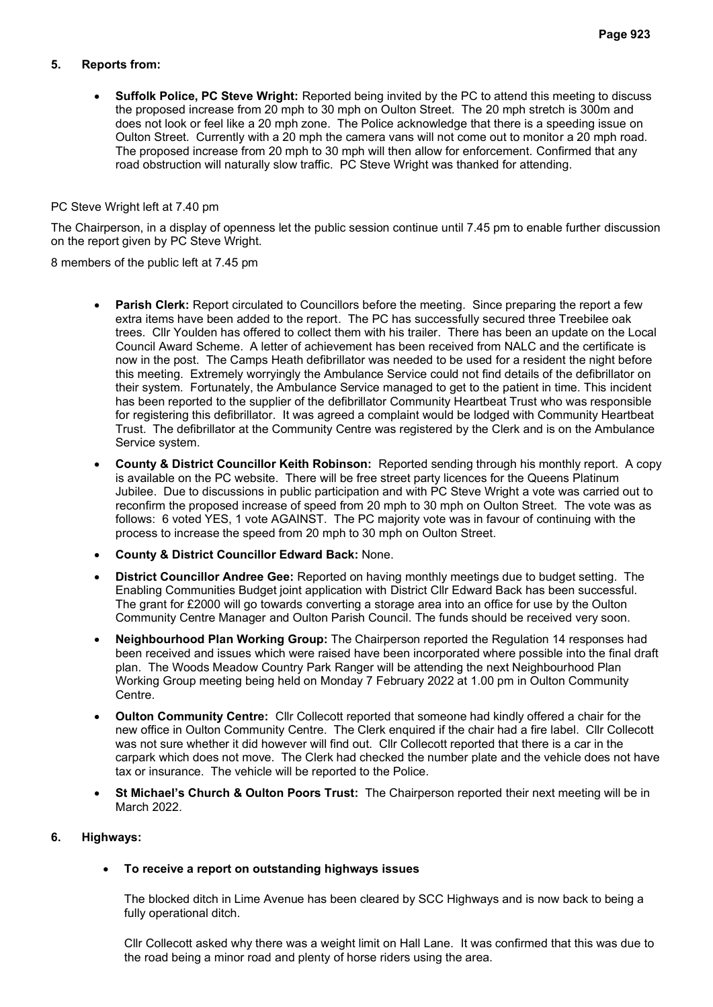# **5. Reports from:**

• **Suffolk Police, PC Steve Wright:** Reported being invited by the PC to attend this meeting to discuss the proposed increase from 20 mph to 30 mph on Oulton Street. The 20 mph stretch is 300m and does not look or feel like a 20 mph zone. The Police acknowledge that there is a speeding issue on Oulton Street. Currently with a 20 mph the camera vans will not come out to monitor a 20 mph road. The proposed increase from 20 mph to 30 mph will then allow for enforcement. Confirmed that any road obstruction will naturally slow traffic. PC Steve Wright was thanked for attending.

#### PC Steve Wright left at 7.40 pm

The Chairperson, in a display of openness let the public session continue until 7.45 pm to enable further discussion on the report given by PC Steve Wright.

8 members of the public left at 7.45 pm

- **Parish Clerk:** Report circulated to Councillors before the meeting. Since preparing the report a few extra items have been added to the report. The PC has successfully secured three Treebilee oak trees. Cllr Youlden has offered to collect them with his trailer. There has been an update on the Local Council Award Scheme. A letter of achievement has been received from NALC and the certificate is now in the post. The Camps Heath defibrillator was needed to be used for a resident the night before this meeting. Extremely worryingly the Ambulance Service could not find details of the defibrillator on their system. Fortunately, the Ambulance Service managed to get to the patient in time. This incident has been reported to the supplier of the defibrillator Community Heartbeat Trust who was responsible for registering this defibrillator. It was agreed a complaint would be lodged with Community Heartbeat Trust. The defibrillator at the Community Centre was registered by the Clerk and is on the Ambulance Service system.
- **County & District Councillor Keith Robinson:** Reported sending through his monthly report. A copy is available on the PC website. There will be free street party licences for the Queens Platinum Jubilee. Due to discussions in public participation and with PC Steve Wright a vote was carried out to reconfirm the proposed increase of speed from 20 mph to 30 mph on Oulton Street. The vote was as follows: 6 voted YES, 1 vote AGAINST. The PC majority vote was in favour of continuing with the process to increase the speed from 20 mph to 30 mph on Oulton Street.
- **County & District Councillor Edward Back:** None.
- **District Councillor Andree Gee:** Reported on having monthly meetings due to budget setting. The Enabling Communities Budget joint application with District Cllr Edward Back has been successful. The grant for £2000 will go towards converting a storage area into an office for use by the Oulton Community Centre Manager and Oulton Parish Council. The funds should be received very soon.
- **Neighbourhood Plan Working Group:** The Chairperson reported the Regulation 14 responses had been received and issues which were raised have been incorporated where possible into the final draft plan.The Woods Meadow Country Park Ranger will be attending the next Neighbourhood Plan Working Group meeting being held on Monday 7 February 2022 at 1.00 pm in Oulton Community Centre.
- **Oulton Community Centre:** Cllr Collecott reported that someone had kindly offered a chair for the new office in Oulton Community Centre. The Clerk enquired if the chair had a fire label. Cllr Collecott was not sure whether it did however will find out. Cllr Collecott reported that there is a car in the carpark which does not move. The Clerk had checked the number plate and the vehicle does not have tax or insurance. The vehicle will be reported to the Police.
- **St Michael's Church & Oulton Poors Trust:** The Chairperson reported their next meeting will be in March 2022.

# **6. Highways:**

# • **To receive a report on outstanding highways issues**

The blocked ditch in Lime Avenue has been cleared by SCC Highways and is now back to being a fully operational ditch.

Cllr Collecott asked why there was a weight limit on Hall Lane. It was confirmed that this was due to the road being a minor road and plenty of horse riders using the area.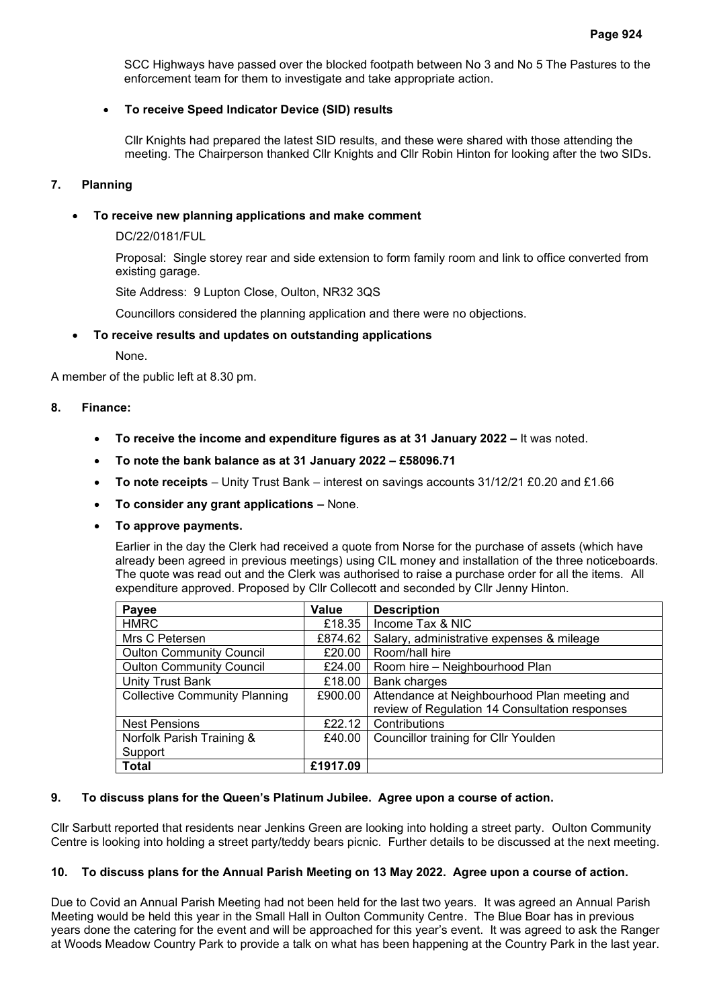SCC Highways have passed over the blocked footpath between No 3 and No 5 The Pastures to the enforcement team for them to investigate and take appropriate action.

# • **To receive Speed Indicator Device (SID) results**

Cllr Knights had prepared the latest SID results, and these were shared with those attending the meeting. The Chairperson thanked Cllr Knights and Cllr Robin Hinton for looking after the two SIDs.

# **7. Planning**

# • **To receive new planning applications and make comment**

DC/22/0181/FUL

Proposal: Single storey rear and side extension to form family room and link to office converted from existing garage.

Site Address: 9 Lupton Close, Oulton, NR32 3QS

Councillors considered the planning application and there were no objections.

# • **To receive results and updates on outstanding applications**

None.

A member of the public left at 8.30 pm.

# **8. Finance:**

- **To receive the income and expenditure figures as at 31 January 2022 –** It was noted.
- **To note the bank balance as at 31 January 2022 – £58096.71**
- **To note receipts** Unity Trust Bank interest on savings accounts 31/12/21 £0.20 and £1.66
- **To consider any grant applications –** None.
- **To approve payments.**

Earlier in the day the Clerk had received a quote from Norse for the purchase of assets (which have already been agreed in previous meetings) using CIL money and installation of the three noticeboards. The quote was read out and the Clerk was authorised to raise a purchase order for all the items. All expenditure approved. Proposed by Cllr Collecott and seconded by Cllr Jenny Hinton.

| Payee                                | <b>Value</b> | <b>Description</b>                             |
|--------------------------------------|--------------|------------------------------------------------|
| <b>HMRC</b>                          | £18.35       | Income Tax & NIC                               |
| Mrs C Petersen                       | £874.62      | Salary, administrative expenses & mileage      |
| <b>Oulton Community Council</b>      | £20.00       | Room/hall hire                                 |
| <b>Oulton Community Council</b>      | £24.00       | Room hire - Neighbourhood Plan                 |
| <b>Unity Trust Bank</b>              | £18.00       | Bank charges                                   |
| <b>Collective Community Planning</b> | £900.00      | Attendance at Neighbourhood Plan meeting and   |
|                                      |              | review of Regulation 14 Consultation responses |
| <b>Nest Pensions</b>                 | £22.12       | Contributions                                  |
| Norfolk Parish Training &            | £40.00       | Councillor training for Cllr Youlden           |
| Support                              |              |                                                |
| <b>Total</b>                         | £1917.09     |                                                |

#### **9. To discuss plans for the Queen's Platinum Jubilee. Agree upon a course of action.**

Cllr Sarbutt reported that residents near Jenkins Green are looking into holding a street party. Oulton Community Centre is looking into holding a street party/teddy bears picnic. Further details to be discussed at the next meeting.

#### **10. To discuss plans for the Annual Parish Meeting on 13 May 2022. Agree upon a course of action.**

Due to Covid an Annual Parish Meeting had not been held for the last two years. It was agreed an Annual Parish Meeting would be held this year in the Small Hall in Oulton Community Centre. The Blue Boar has in previous years done the catering for the event and will be approached for this year's event. It was agreed to ask the Ranger at Woods Meadow Country Park to provide a talk on what has been happening at the Country Park in the last year.